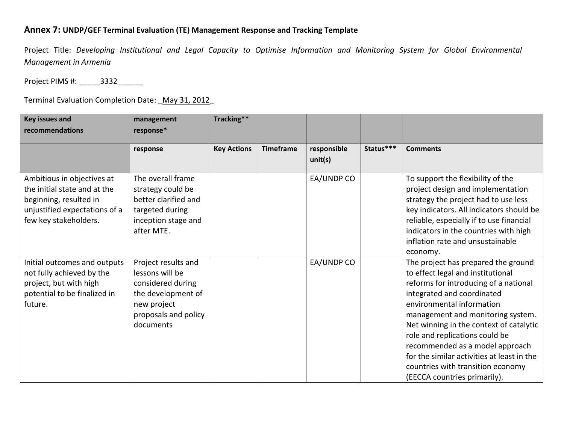## **Annex 7: UNDP/GEF Terminal Evaluation (TE) Management Response and Tracking Template**

Project Title: Developing Institutional and Legal Capacity to Optimise Information and Monitoring System for Global Environmental *Management in Armenia*

Project PIMS #: \_\_\_\_\_\_ 3332

Terminal Evaluation Completion Date: *\_May 31, 2012* 

| <b>Key issues and</b><br>recommendations                                                                                                       | management<br>response*                                                                                                               | Tracking**         |                  |                        |           |                                                                                                                                                                                                                                                                                                                                                                                                                                                      |
|------------------------------------------------------------------------------------------------------------------------------------------------|---------------------------------------------------------------------------------------------------------------------------------------|--------------------|------------------|------------------------|-----------|------------------------------------------------------------------------------------------------------------------------------------------------------------------------------------------------------------------------------------------------------------------------------------------------------------------------------------------------------------------------------------------------------------------------------------------------------|
|                                                                                                                                                | response                                                                                                                              | <b>Key Actions</b> | <b>Timeframe</b> | responsible<br>unit(s) | Status*** | <b>Comments</b>                                                                                                                                                                                                                                                                                                                                                                                                                                      |
| Ambitious in objectives at<br>the initial state and at the<br>beginning, resulted in<br>unjustified expectations of a<br>few key stakeholders. | The overall frame<br>strategy could be<br>better clarified and<br>targeted during<br>inception stage and<br>after MTE.                |                    |                  | EA/UNDP CO             |           | To support the flexibility of the<br>project design and implementation<br>strategy the project had to use less<br>key indicators. All indicators should be<br>reliable, especially if to use financial<br>indicators in the countries with high<br>inflation rate and unsustainable<br>economy.                                                                                                                                                      |
| Initial outcomes and outputs<br>not fully achieved by the<br>project, but with high<br>potential to be finalized in<br>future.                 | Project results and<br>lessons will be<br>considered during<br>the development of<br>new project<br>proposals and policy<br>documents |                    |                  | EA/UNDP CO             |           | The project has prepared the ground<br>to effect legal and institutional<br>reforms for introducing of a national<br>integrated and coordinated<br>environmental information<br>management and monitoring system.<br>Net winning in the context of catalytic<br>role and replications could be<br>recommended as a model approach<br>for the similar activities at least in the<br>countries with transition economy<br>(EECCA countries primarily). |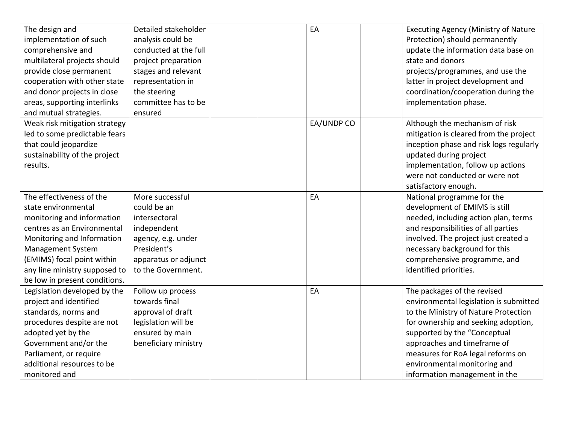| The design and<br>implementation of such<br>comprehensive and<br>multilateral projects should<br>provide close permanent<br>cooperation with other state<br>and donor projects in close<br>areas, supporting interlinks<br>and mutual strategies.               | Detailed stakeholder<br>analysis could be<br>conducted at the full<br>project preparation<br>stages and relevant<br>representation in<br>the steering<br>committee has to be<br>ensured | EA         | <b>Executing Agency (Ministry of Nature</b><br>Protection) should permanently<br>update the information data base on<br>state and donors<br>projects/programmes, and use the<br>latter in project development and<br>coordination/cooperation during the<br>implementation phase.                                         |
|-----------------------------------------------------------------------------------------------------------------------------------------------------------------------------------------------------------------------------------------------------------------|-----------------------------------------------------------------------------------------------------------------------------------------------------------------------------------------|------------|---------------------------------------------------------------------------------------------------------------------------------------------------------------------------------------------------------------------------------------------------------------------------------------------------------------------------|
| Weak risk mitigation strategy<br>led to some predictable fears<br>that could jeopardize<br>sustainability of the project<br>results.                                                                                                                            |                                                                                                                                                                                         | EA/UNDP CO | Although the mechanism of risk<br>mitigation is cleared from the project<br>inception phase and risk logs regularly<br>updated during project<br>implementation, follow up actions<br>were not conducted or were not<br>satisfactory enough.                                                                              |
| The effectiveness of the<br>state environmental<br>monitoring and information<br>centres as an Environmental<br>Monitoring and Information<br>Management System<br>(EMIMS) focal point within<br>any line ministry supposed to<br>be low in present conditions. | More successful<br>could be an<br>intersectoral<br>independent<br>agency, e.g. under<br>President's<br>apparatus or adjunct<br>to the Government.                                       | EA         | National programme for the<br>development of EMIMS is still<br>needed, including action plan, terms<br>and responsibilities of all parties<br>involved. The project just created a<br>necessary background for this<br>comprehensive programme, and<br>identified priorities.                                             |
| Legislation developed by the<br>project and identified<br>standards, norms and<br>procedures despite are not<br>adopted yet by the<br>Government and/or the<br>Parliament, or require<br>additional resources to be<br>monitored and                            | Follow up process<br>towards final<br>approval of draft<br>legislation will be<br>ensured by main<br>beneficiary ministry                                                               | EA         | The packages of the revised<br>environmental legislation is submitted<br>to the Ministry of Nature Protection<br>for ownership and seeking adoption,<br>supported by the "Conceptual<br>approaches and timeframe of<br>measures for RoA legal reforms on<br>environmental monitoring and<br>information management in the |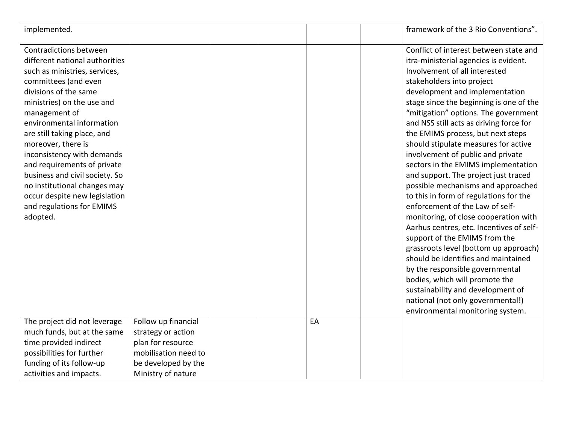| implemented.                                                                                                                                                                                                                                                                                                                                                                                                                                                                         |                                                                                                                                     |  |    | framework of the 3 Rio Conventions".                                                                                                                                                                                                                                                                                                                                                                                                                                                                                                                                                                                                                                                                                                                                                                                                                                                                                                                                                                                       |
|--------------------------------------------------------------------------------------------------------------------------------------------------------------------------------------------------------------------------------------------------------------------------------------------------------------------------------------------------------------------------------------------------------------------------------------------------------------------------------------|-------------------------------------------------------------------------------------------------------------------------------------|--|----|----------------------------------------------------------------------------------------------------------------------------------------------------------------------------------------------------------------------------------------------------------------------------------------------------------------------------------------------------------------------------------------------------------------------------------------------------------------------------------------------------------------------------------------------------------------------------------------------------------------------------------------------------------------------------------------------------------------------------------------------------------------------------------------------------------------------------------------------------------------------------------------------------------------------------------------------------------------------------------------------------------------------------|
| Contradictions between<br>different national authorities<br>such as ministries, services,<br>committees (and even<br>divisions of the same<br>ministries) on the use and<br>management of<br>environmental information<br>are still taking place, and<br>moreover, there is<br>inconsistency with demands<br>and requirements of private<br>business and civil society. So<br>no institutional changes may<br>occur despite new legislation<br>and regulations for EMIMS<br>adopted. |                                                                                                                                     |  |    | Conflict of interest between state and<br>itra-ministerial agencies is evident.<br>Involvement of all interested<br>stakeholders into project<br>development and implementation<br>stage since the beginning is one of the<br>"mitigation" options. The government<br>and NSS still acts as driving force for<br>the EMIMS process, but next steps<br>should stipulate measures for active<br>involvement of public and private<br>sectors in the EMIMS implementation<br>and support. The project just traced<br>possible mechanisms and approached<br>to this in form of regulations for the<br>enforcement of the Law of self-<br>monitoring, of close cooperation with<br>Aarhus centres, etc. Incentives of self-<br>support of the EMIMS from the<br>grassroots level (bottom up approach)<br>should be identifies and maintained<br>by the responsible governmental<br>bodies, which will promote the<br>sustainability and development of<br>national (not only governmental!)<br>environmental monitoring system. |
| The project did not leverage<br>much funds, but at the same<br>time provided indirect<br>possibilities for further<br>funding of its follow-up<br>activities and impacts.                                                                                                                                                                                                                                                                                                            | Follow up financial<br>strategy or action<br>plan for resource<br>mobilisation need to<br>be developed by the<br>Ministry of nature |  | EA |                                                                                                                                                                                                                                                                                                                                                                                                                                                                                                                                                                                                                                                                                                                                                                                                                                                                                                                                                                                                                            |